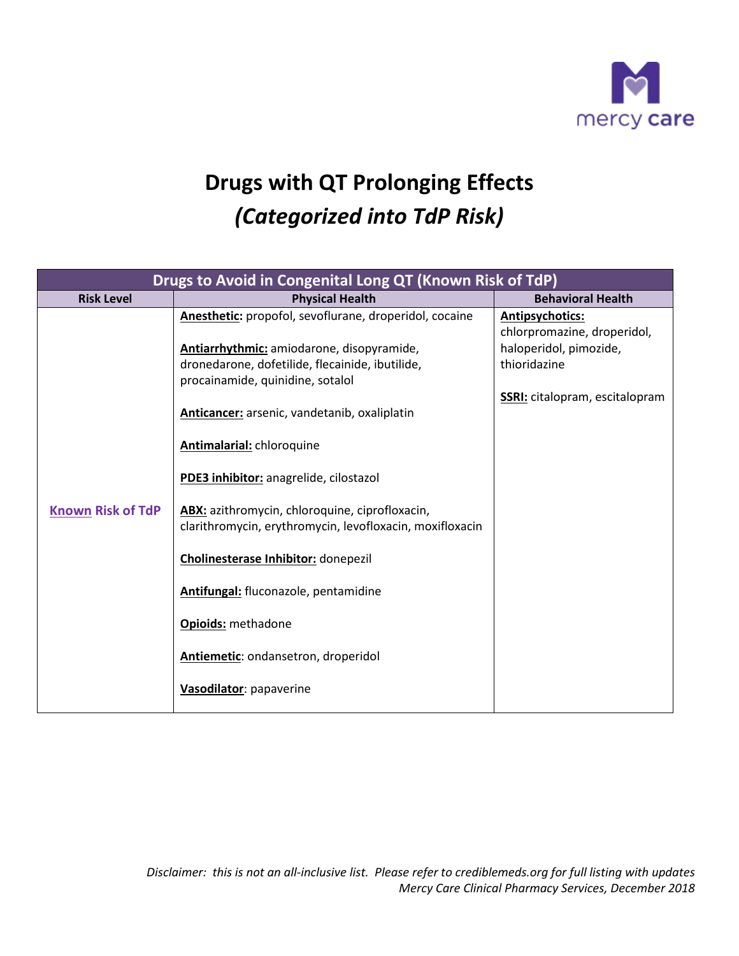

## **Drugs with QT Prolonging Effects** *(Categorized into TdP Risk)*

| <b>Behavioral Health</b><br><b>Physical Health</b><br><b>Risk Level</b><br>Anesthetic: propofol, sevoflurane, droperidol, cocaine<br>Antipsychotics:                                                                                                                                                                                                                                                                                                                                                                                                      | Drugs to Avoid in Congenital Long QT (Known Risk of TdP) |                                           |                                                                                                |  |  |
|-----------------------------------------------------------------------------------------------------------------------------------------------------------------------------------------------------------------------------------------------------------------------------------------------------------------------------------------------------------------------------------------------------------------------------------------------------------------------------------------------------------------------------------------------------------|----------------------------------------------------------|-------------------------------------------|------------------------------------------------------------------------------------------------|--|--|
|                                                                                                                                                                                                                                                                                                                                                                                                                                                                                                                                                           |                                                          |                                           |                                                                                                |  |  |
| dronedarone, dofetilide, flecainide, ibutilide,<br>thioridazine<br>procainamide, quinidine, sotalol<br>Anticancer: arsenic, vandetanib, oxaliplatin<br>Antimalarial: chloroquine<br>PDE3 inhibitor: anagrelide, cilostazol<br><b>Known Risk of TdP</b><br>ABX: azithromycin, chloroquine, ciprofloxacin,<br>clarithromycin, erythromycin, levofloxacin, moxifloxacin<br><b>Cholinesterase Inhibitor:</b> donepezil<br>Antifungal: fluconazole, pentamidine<br><b>Opioids: methadone</b><br>Antiemetic: ondansetron, droperidol<br>Vasodilator: papaverine |                                                          | Antiarrhythmic: amiodarone, disopyramide, | chlorpromazine, droperidol,<br>haloperidol, pimozide,<br><b>SSRI:</b> citalopram, escitalopram |  |  |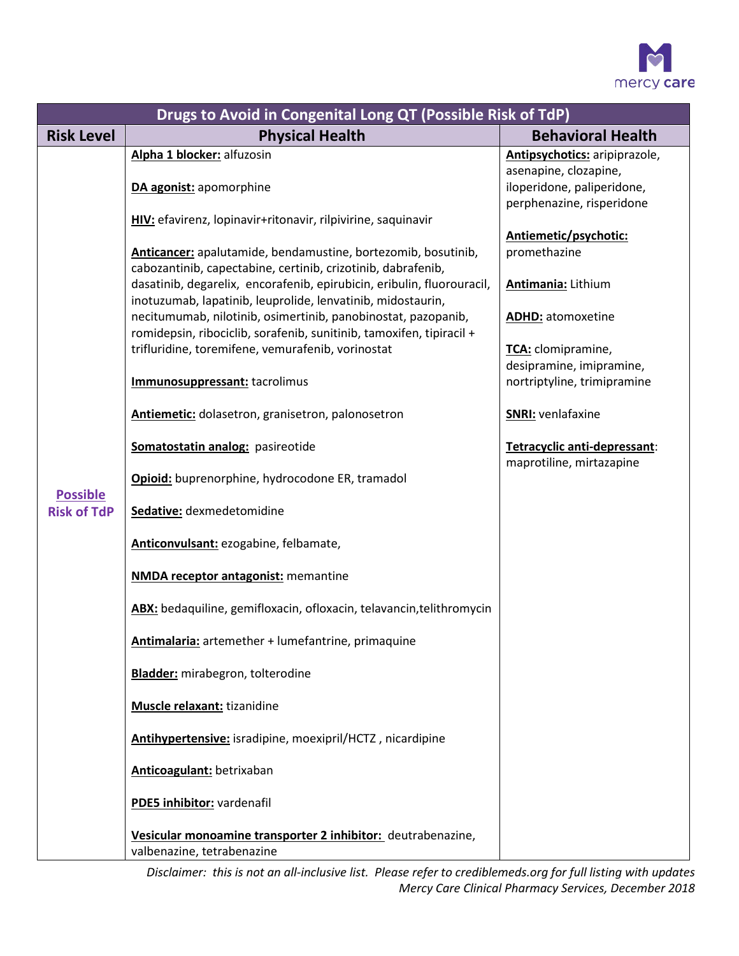

| Drugs to Avoid in Congenital Long QT (Possible Risk of TdP) |                                                                                                                                                                                                                                                                                                                                                                                                                                                                                                                                                                                                                                                                                                                                                                                                                                                                                                                                                                                      |                                                                                                                                                                                                                                                                  |  |  |  |
|-------------------------------------------------------------|--------------------------------------------------------------------------------------------------------------------------------------------------------------------------------------------------------------------------------------------------------------------------------------------------------------------------------------------------------------------------------------------------------------------------------------------------------------------------------------------------------------------------------------------------------------------------------------------------------------------------------------------------------------------------------------------------------------------------------------------------------------------------------------------------------------------------------------------------------------------------------------------------------------------------------------------------------------------------------------|------------------------------------------------------------------------------------------------------------------------------------------------------------------------------------------------------------------------------------------------------------------|--|--|--|
| <b>Risk Level</b>                                           | <b>Physical Health</b>                                                                                                                                                                                                                                                                                                                                                                                                                                                                                                                                                                                                                                                                                                                                                                                                                                                                                                                                                               | <b>Behavioral Health</b>                                                                                                                                                                                                                                         |  |  |  |
|                                                             | Alpha 1 blocker: alfuzosin<br>DA agonist: apomorphine<br>HIV: efavirenz, lopinavir+ritonavir, rilpivirine, saquinavir                                                                                                                                                                                                                                                                                                                                                                                                                                                                                                                                                                                                                                                                                                                                                                                                                                                                | Antipsychotics: aripiprazole,<br>asenapine, clozapine,<br>iloperidone, paliperidone,<br>perphenazine, risperidone                                                                                                                                                |  |  |  |
| <b>Possible</b><br><b>Risk of TdP</b>                       | Anticancer: apalutamide, bendamustine, bortezomib, bosutinib,<br>cabozantinib, capectabine, certinib, crizotinib, dabrafenib,<br>dasatinib, degarelix, encorafenib, epirubicin, eribulin, fluorouracil,<br>inotuzumab, lapatinib, leuprolide, lenvatinib, midostaurin,<br>necitumumab, nilotinib, osimertinib, panobinostat, pazopanib,<br>romidepsin, ribociclib, sorafenib, sunitinib, tamoxifen, tipiracil +<br>trifluridine, toremifene, vemurafenib, vorinostat<br>Immunosuppressant: tacrolimus<br>Antiemetic: dolasetron, granisetron, palonosetron<br>Somatostatin analog: pasireotide<br>Opioid: buprenorphine, hydrocodone ER, tramadol<br>Sedative: dexmedetomidine<br>Anticonvulsant: ezogabine, felbamate,<br><b>NMDA receptor antagonist:</b> memantine<br>ABX: bedaquiline, gemifloxacin, ofloxacin, telavancin, telithromycin<br>Antimalaria: artemether + lumefantrine, primaquine<br><b>Bladder:</b> mirabegron, tolterodine<br><b>Muscle relaxant:</b> tizanidine | Antiemetic/psychotic:<br>promethazine<br>Antimania: Lithium<br><b>ADHD:</b> atomoxetine<br>TCA: clomipramine,<br>desipramine, imipramine,<br>nortriptyline, trimipramine<br><b>SNRI:</b> venlafaxine<br>Tetracyclic anti-depressant:<br>maprotiline, mirtazapine |  |  |  |
|                                                             | Antihypertensive: isradipine, moexipril/HCTZ, nicardipine<br>Anticoagulant: betrixaban                                                                                                                                                                                                                                                                                                                                                                                                                                                                                                                                                                                                                                                                                                                                                                                                                                                                                               |                                                                                                                                                                                                                                                                  |  |  |  |
|                                                             | PDE5 inhibitor: vardenafil<br>Vesicular monoamine transporter 2 inhibitor: deutrabenazine,<br>valbenazine, tetrabenazine                                                                                                                                                                                                                                                                                                                                                                                                                                                                                                                                                                                                                                                                                                                                                                                                                                                             |                                                                                                                                                                                                                                                                  |  |  |  |

 *Disclaimer: this is not an all-inclusive list. Please refer to crediblemeds.org for full listing with updates Mercy Care Clinical Pharmacy Services, December 2018*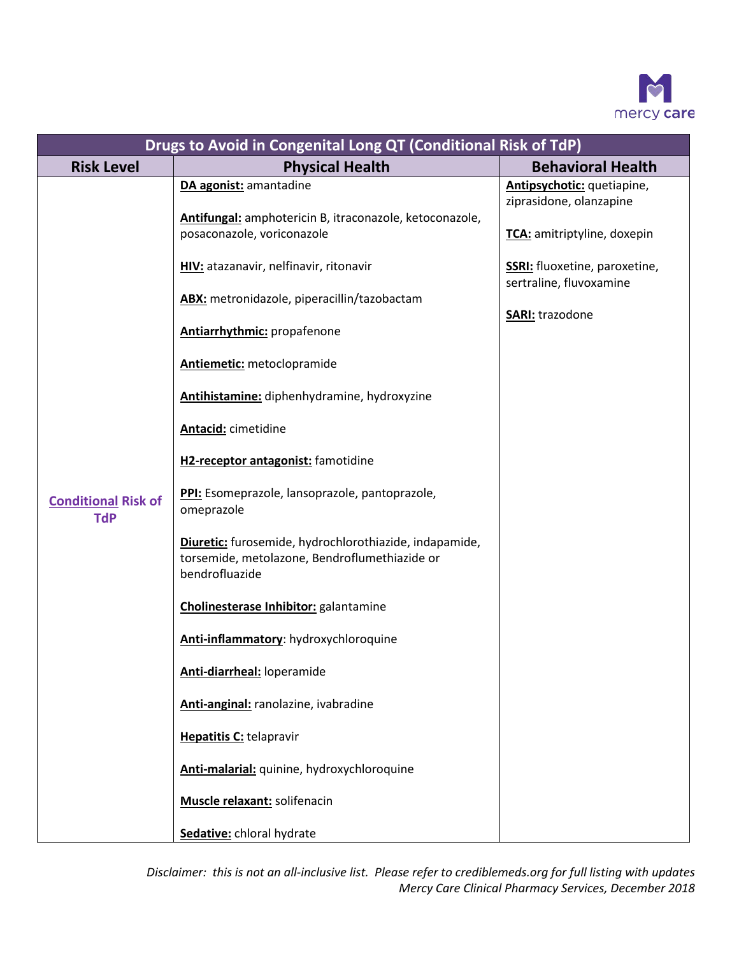

| Drugs to Avoid in Congenital Long QT (Conditional Risk of TdP) |                                                                                                                           |                                                                 |  |  |
|----------------------------------------------------------------|---------------------------------------------------------------------------------------------------------------------------|-----------------------------------------------------------------|--|--|
| <b>Risk Level</b>                                              | <b>Physical Health</b>                                                                                                    | <b>Behavioral Health</b>                                        |  |  |
|                                                                | DA agonist: amantadine<br>Antifungal: amphotericin B, itraconazole, ketoconazole,                                         | Antipsychotic: quetiapine,<br>ziprasidone, olanzapine           |  |  |
|                                                                | posaconazole, voriconazole                                                                                                | TCA: amitriptyline, doxepin                                     |  |  |
|                                                                | HIV: atazanavir, nelfinavir, ritonavir                                                                                    | <b>SSRI:</b> fluoxetine, paroxetine,<br>sertraline, fluvoxamine |  |  |
|                                                                | ABX: metronidazole, piperacillin/tazobactam                                                                               | <b>SARI:</b> trazodone                                          |  |  |
|                                                                | <b>Antiarrhythmic:</b> propafenone                                                                                        |                                                                 |  |  |
|                                                                | <b>Antiemetic:</b> metoclopramide                                                                                         |                                                                 |  |  |
|                                                                | Antihistamine: diphenhydramine, hydroxyzine                                                                               |                                                                 |  |  |
|                                                                | <b>Antacid:</b> cimetidine                                                                                                |                                                                 |  |  |
|                                                                | H2-receptor antagonist: famotidine                                                                                        |                                                                 |  |  |
| <b>Conditional Risk of</b><br><b>TdP</b>                       | PPI: Esomeprazole, lansoprazole, pantoprazole,<br>omeprazole                                                              |                                                                 |  |  |
|                                                                | Diuretic: furosemide, hydrochlorothiazide, indapamide,<br>torsemide, metolazone, Bendroflumethiazide or<br>bendrofluazide |                                                                 |  |  |
|                                                                | Cholinesterase Inhibitor: galantamine                                                                                     |                                                                 |  |  |
|                                                                | Anti-inflammatory: hydroxychloroquine                                                                                     |                                                                 |  |  |
|                                                                | Anti-diarrheal: loperamide                                                                                                |                                                                 |  |  |
|                                                                | Anti-anginal: ranolazine, ivabradine                                                                                      |                                                                 |  |  |
|                                                                | Hepatitis C: telapravir                                                                                                   |                                                                 |  |  |
|                                                                | Anti-malarial: quinine, hydroxychloroquine                                                                                |                                                                 |  |  |
|                                                                | Muscle relaxant: solifenacin                                                                                              |                                                                 |  |  |
|                                                                | Sedative: chloral hydrate                                                                                                 |                                                                 |  |  |

 *Disclaimer: this is not an all-inclusive list. Please refer to crediblemeds.org for full listing with updates Mercy Care Clinical Pharmacy Services, December 2018*